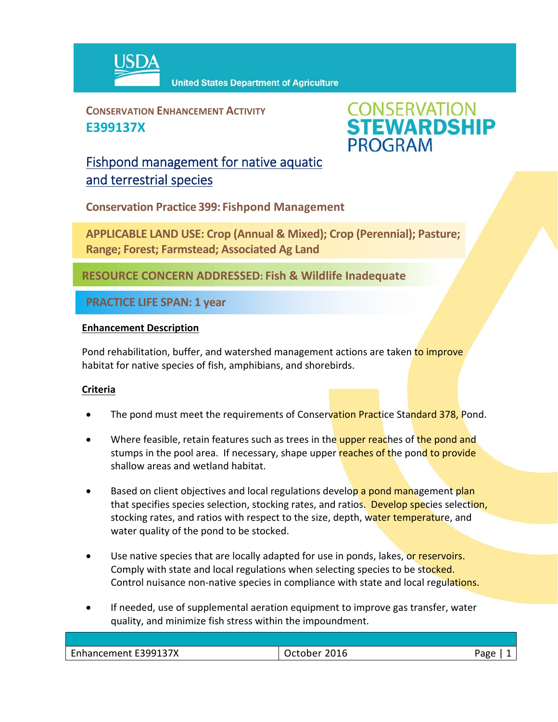

**CONSERVATION ENHANCEMENT ACTIVITY E399137X**



## Fishpond management for native aquatic and terrestrial species

**Conservation Practice 399: Fishpond Management**

**APPLICABLE LAND USE: Crop (Annual & Mixed); Crop (Perennial); Pasture; Range; Forest; Farmstead; Associated Ag Land**

**RESOURCE CONCERN ADDRESSED: Fish & Wildlife Inadequate** 

**PRACTICE LIFE SPAN: 1 year**

## **Enhancement Description**

Pond rehabilitation, buffer, and watershed management actions are taken to improve habitat for native species of fish, amphibians, and shorebirds.

## **Criteria**

- The pond must meet the requirements of Conservation Practice Standard 378, Pond.
- Where feasible, retain features such as trees in the upper reaches of the pond and stumps in the pool area. If necessary, shape upper reaches of the pond to provide shallow areas and wetland habitat.
- Based on client objectives and local regulations develop a pond management plan that specifies species selection, stocking rates, and ratios. Develop species selection, stocking rates, and ratios with respect to the size, depth, water temperature, and water quality of the pond to be stocked.
- Use native species that are locally adapted for use in ponds, lakes, or reservoirs. Comply with state and local regulations when selecting species to be stocked. Control nuisance non-native species in compliance with state and local regulations.
- If needed, use of supplemental aeration equipment to improve gas transfer, water quality, and minimize fish stress within the impoundment.

| <b>Enhancement E399137X</b> | 2016<br>Jetober<br>uuu | Page |
|-----------------------------|------------------------|------|
|                             |                        |      |